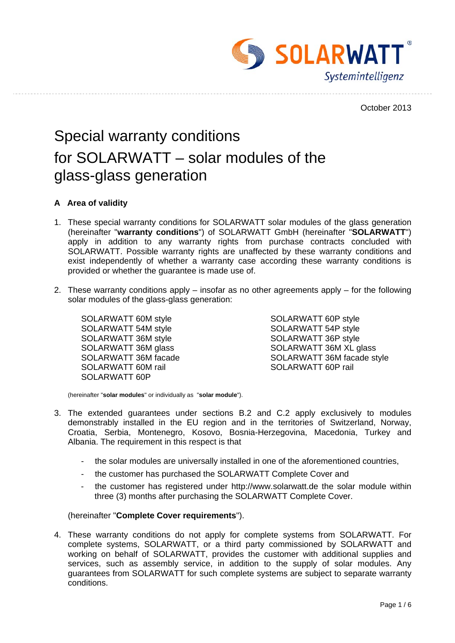

October 2013

# Special warranty conditions for SOLARWATT – solar modules of the glass-glass generation

## **A Area of validity**

- 1. These special warranty conditions for SOLARWATT solar modules of the glass generation (hereinafter "**warranty conditions**") of SOLARWATT GmbH (hereinafter "**SOLARWATT**") apply in addition to any warranty rights from purchase contracts concluded with SOLARWATT. Possible warranty rights are unaffected by these warranty conditions and exist independently of whether a warranty case according these warranty conditions is provided or whether the guarantee is made use of.
- 2. These warranty conditions apply insofar as no other agreements apply for the following solar modules of the glass-glass generation:

SOLARWATT 60M style SOLARWATT 60P style SOLARWATT 54M style SOLARWATT 54P style SOLARWATT 36M style SOLARWATT 36P style SOLARWATT 60M rail SOLARWATT 60P rail SOLARWATT 60P

SOLARWATT 36M glass SOLARWATT 36M XL glass SOLARWATT 36M facade SOLARWATT 36M facade style

(hereinafter "**solar modules**" or individually as "**solar module**").

- 3. The extended guarantees under sections B.2 and C.2 apply exclusively to modules demonstrably installed in the EU region and in the territories of Switzerland, Norway, Croatia, Serbia, Montenegro, Kosovo, Bosnia-Herzegovina, Macedonia, Turkey and Albania. The requirement in this respect is that
	- the solar modules are universally installed in one of the aforementioned countries,
	- the customer has purchased the SOLARWATT Complete Cover and
	- the customer has registered under http://www.solarwatt.de the solar module within three (3) months after purchasing the SOLARWATT Complete Cover.

#### (hereinafter "**Complete Cover requirements**").

4. These warranty conditions do not apply for complete systems from SOLARWATT. For complete systems, SOLARWATT, or a third party commissioned by SOLARWATT and working on behalf of SOLARWATT, provides the customer with additional supplies and services, such as assembly service, in addition to the supply of solar modules. Any guarantees from SOLARWATT for such complete systems are subject to separate warranty conditions.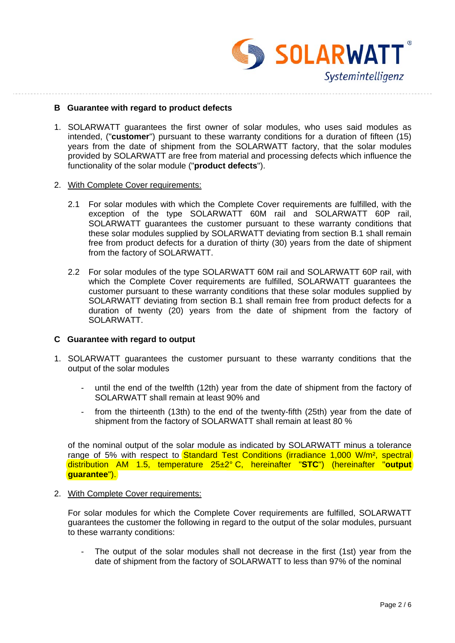SOLARWATT<sup>®</sup> Systemintelligenz

#### **B Guarantee with regard to product defects**

- 1. SOLARWATT guarantees the first owner of solar modules, who uses said modules as intended, ("**customer**") pursuant to these warranty conditions for a duration of fifteen (15) years from the date of shipment from the SOLARWATT factory, that the solar modules provided by SOLARWATT are free from material and processing defects which influence the functionality of the solar module ("**product defects**").
- 2. With Complete Cover requirements:
	- 2.1 For solar modules with which the Complete Cover requirements are fulfilled, with the exception of the type SOLARWATT 60M rail and SOLARWATT 60P rail, SOLARWATT guarantees the customer pursuant to these warranty conditions that these solar modules supplied by SOLARWATT deviating from section B.1 shall remain free from product defects for a duration of thirty (30) years from the date of shipment from the factory of SOLARWATT.
	- 2.2 For solar modules of the type SOLARWATT 60M rail and SOLARWATT 60P rail, with which the Complete Cover requirements are fulfilled, SOLARWATT quarantees the customer pursuant to these warranty conditions that these solar modules supplied by SOLARWATT deviating from section B.1 shall remain free from product defects for a duration of twenty (20) years from the date of shipment from the factory of SOLARWATT

#### **C Guarantee with regard to output**

- 1. SOLARWATT guarantees the customer pursuant to these warranty conditions that the output of the solar modules
	- until the end of the twelfth (12th) year from the date of shipment from the factory of SOLARWATT shall remain at least 90% and
	- from the thirteenth (13th) to the end of the twenty-fifth (25th) year from the date of shipment from the factory of SOLARWATT shall remain at least 80 %

of the nominal output of the solar module as indicated by SOLARWATT minus a tolerance range of 5% with respect to Standard Test Conditions (irradiance 1,000 W/m<sup>2</sup>, spectral distribution AM 1.5, temperature 25±2° C, hereinafter "**STC**") (hereinafter "**output guarantee**").

2. With Complete Cover requirements:

For solar modules for which the Complete Cover requirements are fulfilled, SOLARWATT guarantees the customer the following in regard to the output of the solar modules, pursuant to these warranty conditions:

The output of the solar modules shall not decrease in the first (1st) year from the date of shipment from the factory of SOLARWATT to less than 97% of the nominal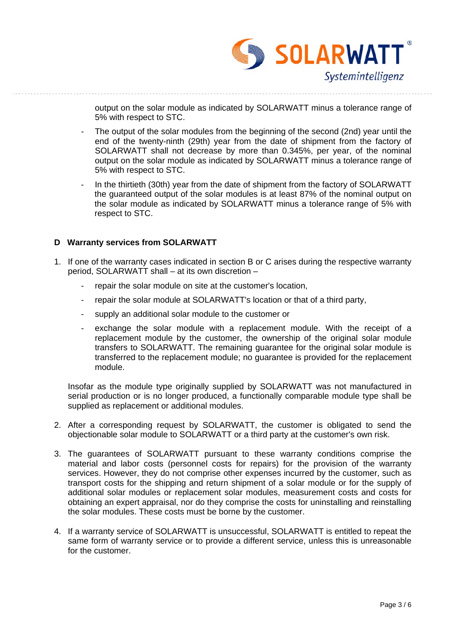SOLARWATT Systemintelligenz

output on the solar module as indicated by SOLARWATT minus a tolerance range of 5% with respect to STC.

- The output of the solar modules from the beginning of the second (2nd) year until the end of the twenty-ninth (29th) year from the date of shipment from the factory of SOLARWATT shall not decrease by more than 0.345%, per year, of the nominal output on the solar module as indicated by SOLARWATT minus a tolerance range of 5% with respect to STC.
- In the thirtieth (30th) year from the date of shipment from the factory of SOLARWATT the guaranteed output of the solar modules is at least 87% of the nominal output on the solar module as indicated by SOLARWATT minus a tolerance range of 5% with respect to STC.

## **D Warranty services from SOLARWATT**

- 1. If one of the warranty cases indicated in section B or C arises during the respective warranty period, SOLARWATT shall – at its own discretion –
	- repair the solar module on site at the customer's location,
	- repair the solar module at SOLARWATT's location or that of a third party,
	- supply an additional solar module to the customer or
	- exchange the solar module with a replacement module. With the receipt of a replacement module by the customer, the ownership of the original solar module transfers to SOLARWATT. The remaining guarantee for the original solar module is transferred to the replacement module; no guarantee is provided for the replacement module.

Insofar as the module type originally supplied by SOLARWATT was not manufactured in serial production or is no longer produced, a functionally comparable module type shall be supplied as replacement or additional modules.

- 2. After a corresponding request by SOLARWATT, the customer is obligated to send the objectionable solar module to SOLARWATT or a third party at the customer's own risk.
- 3. The guarantees of SOLARWATT pursuant to these warranty conditions comprise the material and labor costs (personnel costs for repairs) for the provision of the warranty services. However, they do not comprise other expenses incurred by the customer, such as transport costs for the shipping and return shipment of a solar module or for the supply of additional solar modules or replacement solar modules, measurement costs and costs for obtaining an expert appraisal, nor do they comprise the costs for uninstalling and reinstalling the solar modules. These costs must be borne by the customer.
- 4. If a warranty service of SOLARWATT is unsuccessful, SOLARWATT is entitled to repeat the same form of warranty service or to provide a different service, unless this is unreasonable for the customer.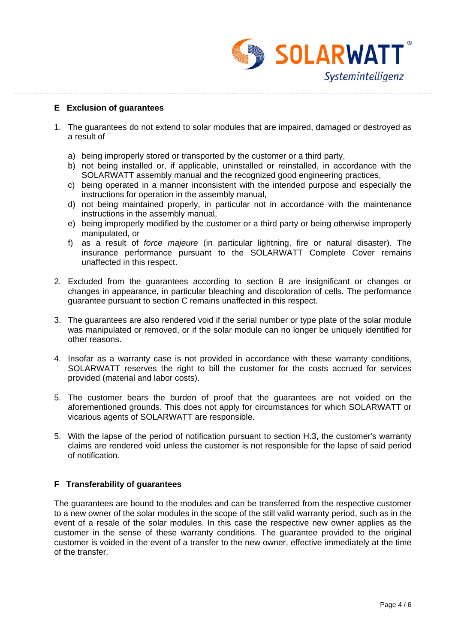SOLARWATT Systemintelligenz

## **E Exclusion of guarantees**

- 1. The guarantees do not extend to solar modules that are impaired, damaged or destroyed as a result of
	- a) being improperly stored or transported by the customer or a third party,
	- b) not being installed or, if applicable, uninstalled or reinstalled, in accordance with the SOLARWATT assembly manual and the recognized good engineering practices,
	- c) being operated in a manner inconsistent with the intended purpose and especially the instructions for operation in the assembly manual,
	- d) not being maintained properly, in particular not in accordance with the maintenance instructions in the assembly manual,
	- e) being improperly modified by the customer or a third party or being otherwise improperly manipulated, or
	- f) as a result of *force majeure* (in particular lightning, fire or natural disaster). The insurance performance pursuant to the SOLARWATT Complete Cover remains unaffected in this respect.
- 2. Excluded from the guarantees according to section B are insignificant or changes or changes in appearance, in particular bleaching and discoloration of cells. The performance guarantee pursuant to section C remains unaffected in this respect.
- 3. The guarantees are also rendered void if the serial number or type plate of the solar module was manipulated or removed, or if the solar module can no longer be uniquely identified for other reasons.
- 4. Insofar as a warranty case is not provided in accordance with these warranty conditions, SOLARWATT reserves the right to bill the customer for the costs accrued for services provided (material and labor costs).
- 5. The customer bears the burden of proof that the guarantees are not voided on the aforementioned grounds. This does not apply for circumstances for which SOLARWATT or vicarious agents of SOLARWATT are responsible.
- 5. With the lapse of the period of notification pursuant to section H.3, the customer's warranty claims are rendered void unless the customer is not responsible for the lapse of said period of notification.

## **F Transferability of guarantees**

The guarantees are bound to the modules and can be transferred from the respective customer to a new owner of the solar modules in the scope of the still valid warranty period, such as in the event of a resale of the solar modules. In this case the respective new owner applies as the customer in the sense of these warranty conditions. The guarantee provided to the original customer is voided in the event of a transfer to the new owner, effective immediately at the time of the transfer.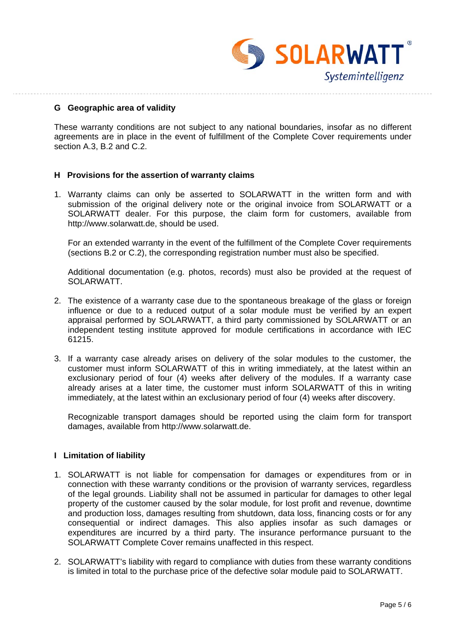

#### **G Geographic area of validity**

These warranty conditions are not subject to any national boundaries, insofar as no different agreements are in place in the event of fulfillment of the Complete Cover requirements under section A.3, B.2 and C.2.

## **H Provisions for the assertion of warranty claims**

1. Warranty claims can only be asserted to SOLARWATT in the written form and with submission of the original delivery note or the original invoice from SOLARWATT or a SOLARWATT dealer. For this purpose, the claim form for customers, available from http://www.solarwatt.de, should be used.

For an extended warranty in the event of the fulfillment of the Complete Cover requirements (sections B.2 or C.2), the corresponding registration number must also be specified.

Additional documentation (e.g. photos, records) must also be provided at the request of SOLARWATT.

- 2. The existence of a warranty case due to the spontaneous breakage of the glass or foreign influence or due to a reduced output of a solar module must be verified by an expert appraisal performed by SOLARWATT, a third party commissioned by SOLARWATT or an independent testing institute approved for module certifications in accordance with IEC 61215.
- 3. If a warranty case already arises on delivery of the solar modules to the customer, the customer must inform SOLARWATT of this in writing immediately, at the latest within an exclusionary period of four (4) weeks after delivery of the modules. If a warranty case already arises at a later time, the customer must inform SOLARWATT of this in writing immediately, at the latest within an exclusionary period of four (4) weeks after discovery.

Recognizable transport damages should be reported using the claim form for transport damages, available from http://www.solarwatt.de.

#### **I Limitation of liability**

- 1. SOLARWATT is not liable for compensation for damages or expenditures from or in connection with these warranty conditions or the provision of warranty services, regardless of the legal grounds. Liability shall not be assumed in particular for damages to other legal property of the customer caused by the solar module, for lost profit and revenue, downtime and production loss, damages resulting from shutdown, data loss, financing costs or for any consequential or indirect damages. This also applies insofar as such damages or expenditures are incurred by a third party. The insurance performance pursuant to the SOLARWATT Complete Cover remains unaffected in this respect.
- 2. SOLARWATT's liability with regard to compliance with duties from these warranty conditions is limited in total to the purchase price of the defective solar module paid to SOLARWATT.